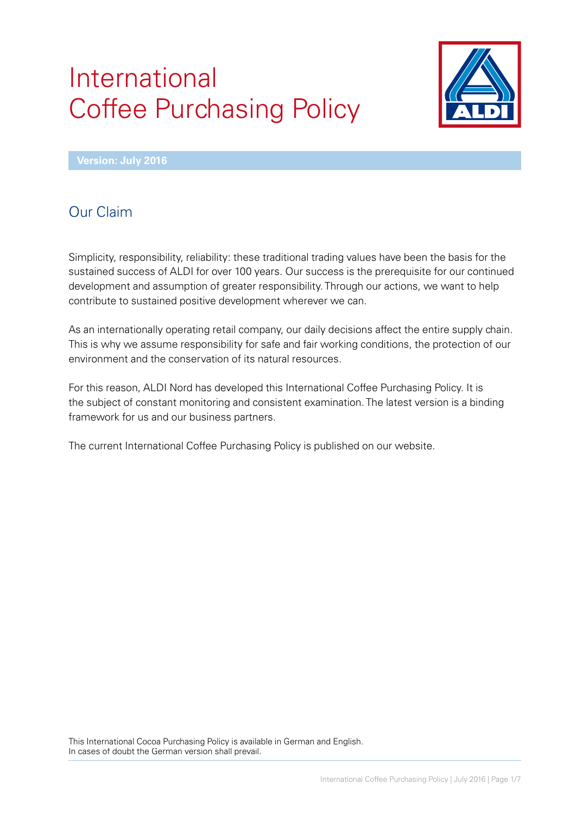# International Coffee Purchasing Policy



**Version: July 2016**

# Our Claim

Simplicity, responsibility, reliability: these traditional trading values have been the basis for the sustained success of ALDI for over 100 years. Our success is the prerequisite for our continued development and assumption of greater responsibility. Through our actions, we want to help contribute to sustained positive development wherever we can.

As an internationally operating retail company, our daily decisions affect the entire supply chain. This is why we assume responsibility for safe and fair working conditions, the protection of our environment and the conservation of its natural resources.

For this reason, ALDI Nord has developed this International Coffee Purchasing Policy. It is the subject of constant monitoring and consistent examination. The latest version is a binding framework for us and our business partners.

The current International Coffee Purchasing Policy is published on our website.

This International Cocoa Purchasing Policy is available in German and English. In cases of doubt the German version shall prevail.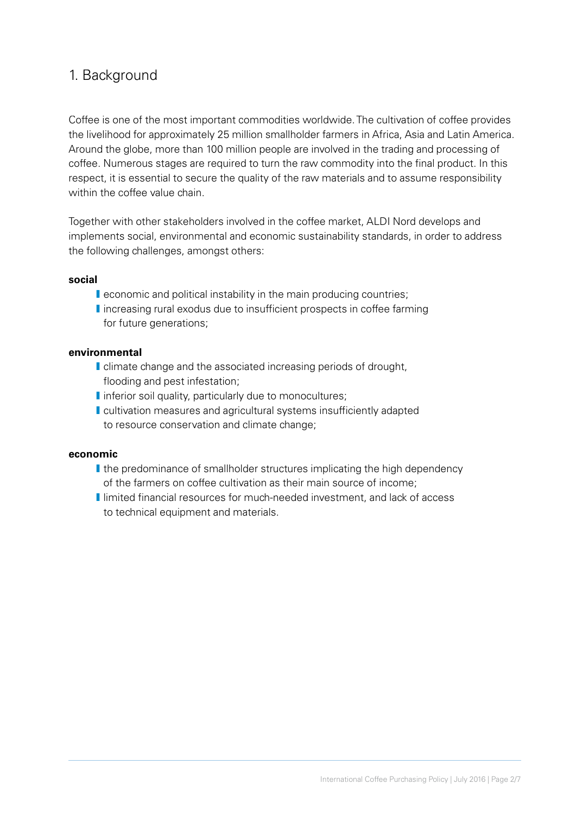## 1. Background

Coffee is one of the most important commodities worldwide. The cultivation of coffee provides the livelihood for approximately 25 million smallholder farmers in Africa, Asia and Latin America. Around the globe, more than 100 million people are involved in the trading and processing of coffee. Numerous stages are required to turn the raw commodity into the final product. In this respect, it is essential to secure the quality of the raw materials and to assume responsibility within the coffee value chain.

Together with other stakeholders involved in the coffee market, ALDI Nord develops and implements social, environmental and economic sustainability standards, in order to address the following challenges, amongst others:

#### **social**

- **I** economic and political instability in the main producing countries;
- I increasing rural exodus due to insufficient prospects in coffee farming for future generations;

#### **environmental**

- I climate change and the associated increasing periods of drought, flooding and pest infestation;
- I inferior soil quality, particularly due to monocultures;
- **I** cultivation measures and agricultural systems insufficiently adapted to resource conservation and climate change;

#### **economic**

- I the predominance of smallholder structures implicating the high dependency of the farmers on coffee cultivation as their main source of income;
- **I** limited financial resources for much-needed investment, and lack of access to technical equipment and materials.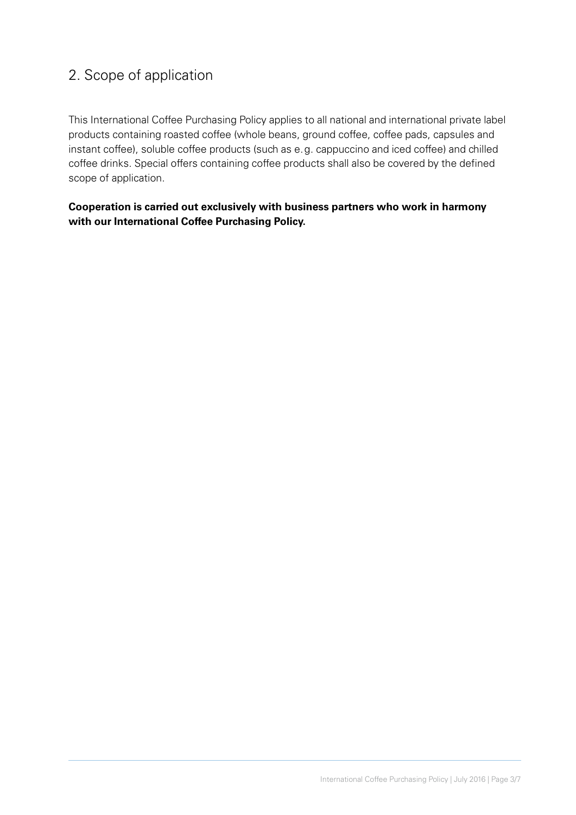# 2. Scope of application

This International Coffee Purchasing Policy applies to all national and international private label products containing roasted coffee (whole beans, ground coffee, coffee pads, capsules and instant coffee), soluble coffee products (such as e.g. cappuccino and iced coffee) and chilled coffee drinks. Special offers containing coffee products shall also be covered by the defined scope of application.

**Cooperation is carried out exclusively with business partners who work in harmony with our International Coffee Purchasing Policy.**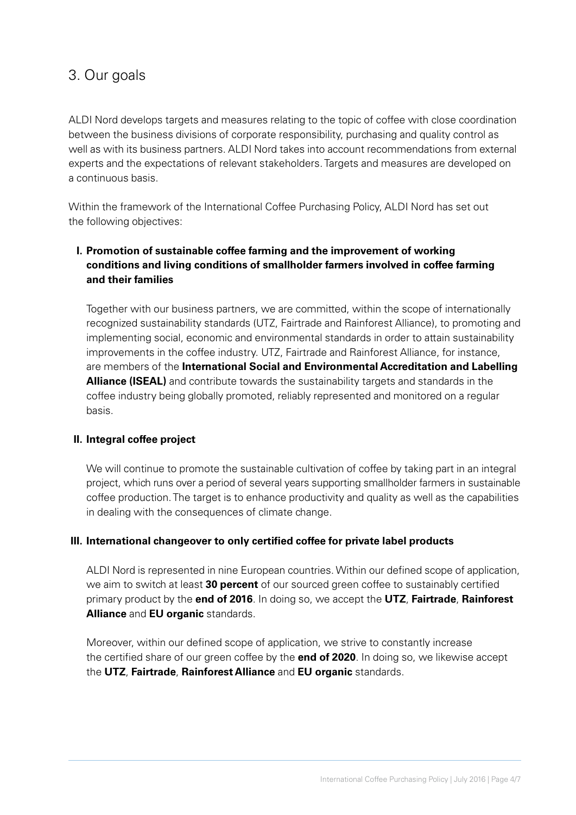## 3. Our goals

ALDI Nord develops targets and measures relating to the topic of coffee with close coordination between the business divisions of corporate responsibility, purchasing and quality control as well as with its business partners. ALDI Nord takes into account recommendations from external experts and the expectations of relevant stakeholders. Targets and measures are developed on a continuous basis.

Within the framework of the International Coffee Purchasing Policy, ALDI Nord has set out the following objectives:

## **I. Promotion of sustainable coffee farming and the improvement of working conditions and living conditions of smallholder farmers involved in coffee farming and their families**

 Together with our business partners, we are committed, within the scope of internationally recognized sustainability standards (UTZ, Fairtrade and Rainforest Alliance), to promoting and implementing social, economic and environmental standards in order to attain sustainability improvements in the coffee industry. UTZ, Fairtrade and Rainforest Alliance, for instance, are members of the **International Social and Environmental Accreditation and Labelling Alliance (ISEAL)** and contribute towards the sustainability targets and standards in the coffee industry being globally promoted, reliably represented and monitored on a regular basis.

### **II. Integral coffee project**

 We will continue to promote the sustainable cultivation of coffee by taking part in an integral project, which runs over a period of several years supporting smallholder farmers in sustainable coffee production. The target is to enhance productivity and quality as well as the capabilities in dealing with the consequences of climate change.

### **III. International changeover to only certified coffee for private label products**

 ALDI Nord is represented in nine European countries. Within our defined scope of application, we aim to switch at least **30 percent** of our sourced green coffee to sustainably certified primary product by the **end of 2016**. In doing so, we accept the **UTZ**, **Fairtrade**, **Rainforest Alliance** and **EU organic** standards.

 Moreover, within our defined scope of application, we strive to constantly increase the certified share of our green coffee by the **end of 2020**. In doing so, we likewise accept the **UTZ**, **Fairtrade**, **Rainforest Alliance** and **EU organic** standards.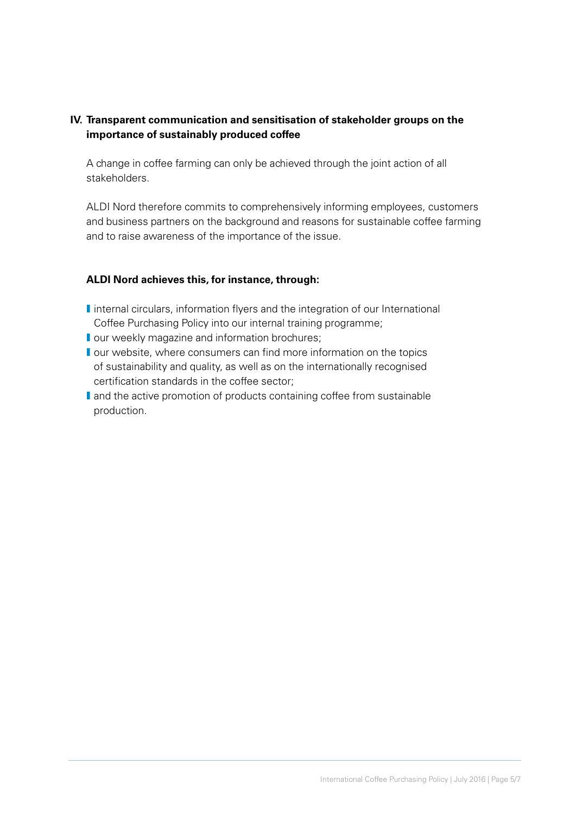## **IV. Transparent communication and sensitisation of stakeholder groups on the importance of sustainably produced coffee**

 A change in coffee farming can only be achieved through the joint action of all stakeholders.

 ALDI Nord therefore commits to comprehensively informing employees, customers and business partners on the background and reasons for sustainable coffee farming and to raise awareness of the importance of the issue.

### **ALDI Nord achieves this, for instance, through:**

- I internal circulars, information flyers and the integration of our International Coffee Purchasing Policy into our internal training programme;
- **I** our weekly magazine and information brochures;
- **I** our website, where consumers can find more information on the topics of sustainability and quality, as well as on the internationally recognised certification standards in the coffee sector;
- I and the active promotion of products containing coffee from sustainable production.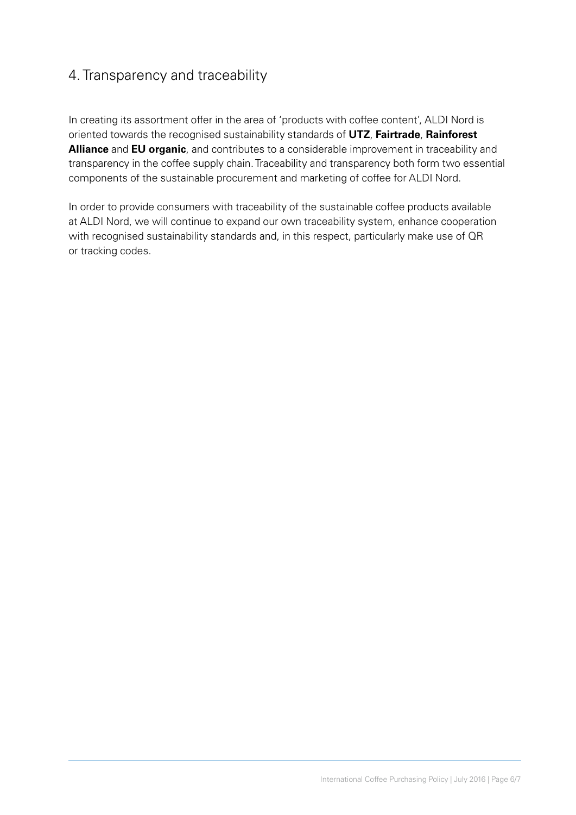## 4. Transparency and traceability

In creating its assortment offer in the area of 'products with coffee content', ALDI Nord is oriented towards the recognised sustainability standards of **UTZ**, **Fairtrade**, **Rainforest Alliance** and **EU organic**, and contributes to a considerable improvement in traceability and transparency in the coffee supply chain. Traceability and transparency both form two essential components of the sustainable procurement and marketing of coffee for ALDI Nord.

In order to provide consumers with traceability of the sustainable coffee products available at ALDI Nord, we will continue to expand our own traceability system, enhance cooperation with recognised sustainability standards and, in this respect, particularly make use of QR or tracking codes.